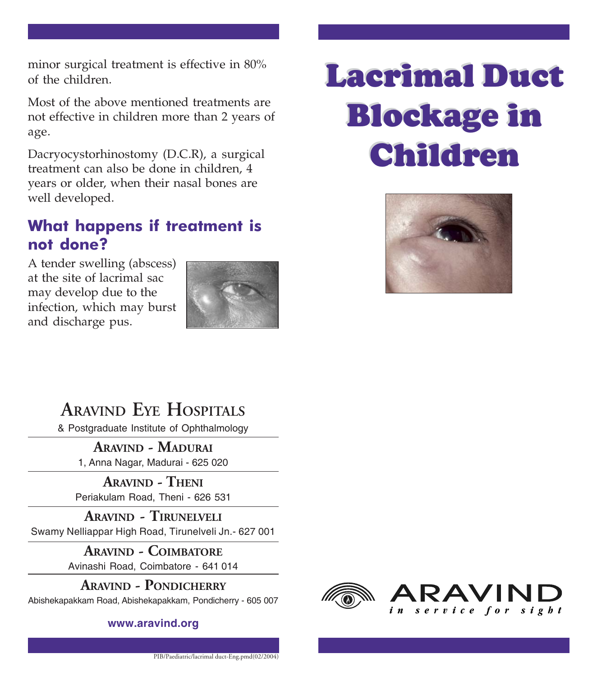minor surgical treatment is effective in 80% of the children.

Most of the above mentioned treatments are not effective in children more than 2 years of age.

Dacryocystorhinostomy (D.C.R), a surgical treatment can also be done in children, 4 years or older, when their nasal bones are well developed.

#### What happens if treatment is not done?

A tender swelling (abscess) at the site of lacrimal sac may develop due to the infection, which may burst and discharge pus.



# Lacrimal Duct Lacrimal Duct Blockage in Blockage in Children Children



**ARAVIND EYE HOSPITALS**

& Postgraduate Institute of Ophthalmology

**ARAVIND - MADURAI** 1, Anna Nagar, Madurai - 625 020

**ARAVIND - THENI** Periakulam Road, Theni - 626 531

**ARAVIND - TIRUNELVELI** Swamy Nelliappar High Road, Tirunelveli Jn.- 627 001

> **ARAVIND - COIMBATORE** Avinashi Road, Coimbatore - 641 014

#### **ARAVIND - PONDICHERRY**

Abishekapakkam Road, Abishekapakkam, Pondicherry - 605 007

**www.aravind.org**